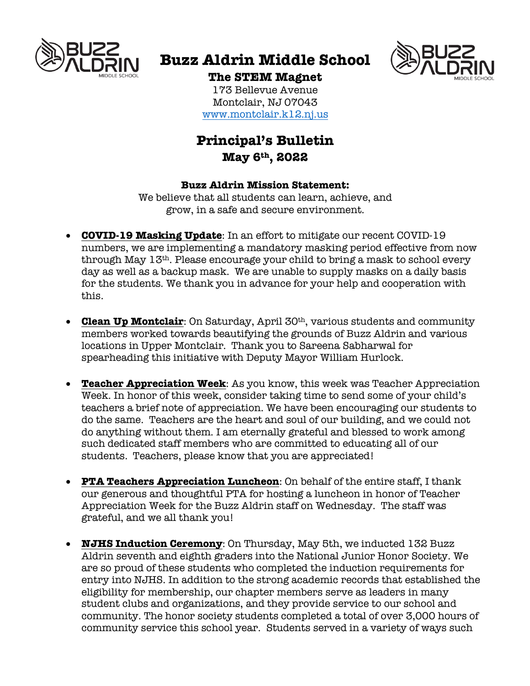

# **Buzz Aldrin Middle School**



### **The STEM Magnet**

173 Bellevue Avenue Montclair, NJ 07043 www.montclair.k12.nj.us

## **Principal's Bulletin May 6th, 2022**

#### **Buzz Aldrin Mission Statement:**

We believe that all students can learn, achieve, and grow, in a safe and secure environment.

- **COVID-19 Masking Update**: In an effort to mitigate our recent COVID-19 numbers, we are implementing a mandatory masking period effective from now through May 13th. Please encourage your child to bring a mask to school every day as well as a backup mask. We are unable to supply masks on a daily basis for the students. We thank you in advance for your help and cooperation with this.
- **Clean Up Montclair**: On Saturday, April 30<sup>th</sup>, various students and community members worked towards beautifying the grounds of Buzz Aldrin and various locations in Upper Montclair. Thank you to Sareena Sabharwal for spearheading this initiative with Deputy Mayor William Hurlock.
- **Teacher Appreciation Week**: As you know, this week was Teacher Appreciation Week. In honor of this week, consider taking time to send some of your child's teachers a brief note of appreciation. We have been encouraging our students to do the same. Teachers are the heart and soul of our building, and we could not do anything without them. I am eternally grateful and blessed to work among such dedicated staff members who are committed to educating all of our students. Teachers, please know that you are appreciated!
- **PTA Teachers Appreciation Luncheon**: On behalf of the entire staff, I thank our generous and thoughtful PTA for hosting a luncheon in honor of Teacher Appreciation Week for the Buzz Aldrin staff on Wednesday. The staff was grateful, and we all thank you!
- **NJHS Induction Ceremony**: On Thursday, May 5th, we inducted 132 Buzz Aldrin seventh and eighth graders into the National Junior Honor Society. We are so proud of these students who completed the induction requirements for entry into NJHS. In addition to the strong academic records that established the eligibility for membership, our chapter members serve as leaders in many student clubs and organizations, and they provide service to our school and community. The honor society students completed a total of over 3,000 hours of community service this school year. Students served in a variety of ways such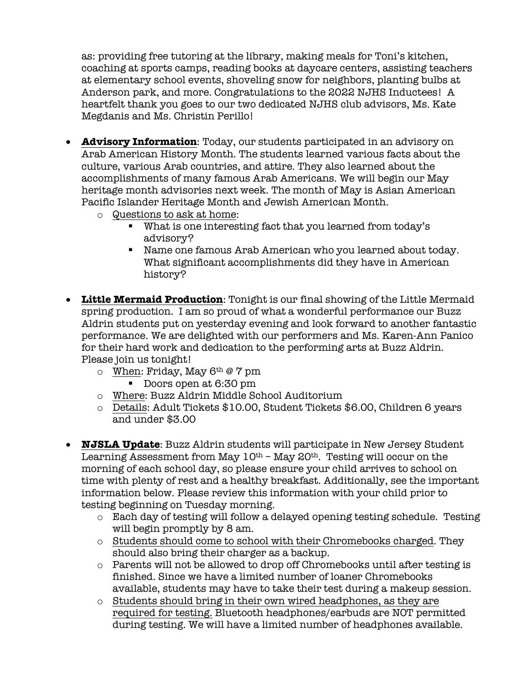as: providing free tutoring at the library, making meals for Toni's kitchen, coaching at sports camps, reading books at daycare centers, assisting teachers at elementary school events, shoveling snow for neighbors, planting bulbs at Anderson park, and more. Congratulations to the 2022 NJHS Inductees! A heartfelt thank you goes to our two dedicated NJHS club advisors, Ms. Kate Megdanis and Ms. Christin Perillo!

- **Advisory Information**: Today, our students participated in an advisory on Arab American History Month. The students learned various facts about the culture, various Arab countries, and attire. They also learned about the accomplishments of many famous Arab Americans. We will begin our May heritage month advisories next week. The month of May is Asian American Pacific Islander Heritage Month and Jewish American Month.
	- o Questions to ask at home:
		- What is one interesting fact that you learned from today's advisory?
		- Name one famous Arab American who you learned about today. What significant accomplishments did they have in American history?
- **Little Mermaid Production**: Tonight is our final showing of the Little Mermaid spring production. I am so proud of what a wonderful performance our Buzz Aldrin students put on yesterday evening and look forward to another fantastic performance. We are delighted with our performers and Ms. Karen-Ann Panico for their hard work and dedication to the performing arts at Buzz Aldrin. Please join us tonight!
	- $\circ$  When: Friday, May 6<sup>th</sup> @ 7 pm
		- Doors open at 6:30 pm
	- o Where: Buzz Aldrin Middle School Auditorium
	- o Details: Adult Tickets \$10.00, Student Tickets \$6.00, Children 6 years and under \$3.00
- **NJSLA Update**: Buzz Aldrin students will participate in New Jersey Student Learning Assessment from May  $10<sup>th</sup>$  – May  $20<sup>th</sup>$ . Testing will occur on the morning of each school day, so please ensure your child arrives to school on time with plenty of rest and a healthy breakfast. Additionally, see the important information below. Please review this information with your child prior to testing beginning on Tuesday morning.
	- o Each day of testing will follow a delayed opening testing schedule. Testing will begin promptly by 8 am.
	- $\circ$  Students should come to school with their Chromebooks charged. They should also bring their charger as a backup.
	- o Parents will not be allowed to drop off Chromebooks until after testing is finished. Since we have a limited number of loaner Chromebooks available, students may have to take their test during a makeup session.
	- o Students should bring in their own wired headphones, as they are required for testing. Bluetooth headphones/earbuds are NOT permitted during testing. We will have a limited number of headphones available.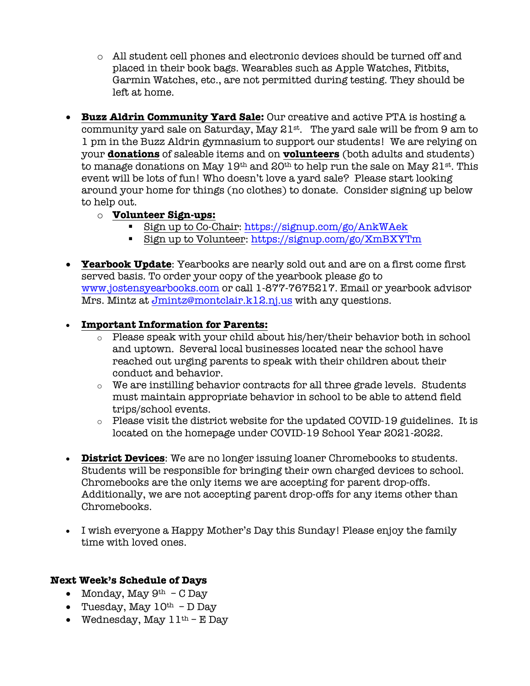- o All student cell phones and electronic devices should be turned off and placed in their book bags. Wearables such as Apple Watches, Fitbits, Garmin Watches, etc., are not permitted during testing. They should be left at home.
- **Buzz Aldrin Community Yard Sale:** Our creative and active PTA is hosting a community yard sale on Saturday, May  $21^{st}$ . The yard sale will be from 9 am to 1 pm in the Buzz Aldrin gymnasium to support our students! We are relying on your **donations** of saleable items and on **volunteers** (both adults and students) to manage donations on May  $19<sup>th</sup>$  and  $20<sup>th</sup>$  to help run the sale on May  $21<sup>st</sup>$ . This event will be lots of fun! Who doesn't love a yard sale? Please start looking around your home for things (no clothes) to donate. Consider signing up below to help out.
	- o **Volunteer Sign-ups:**
		- Sign up to Co-Chair: https://signup.com/go/AnkWAek
		- Sign up to Volunteer: https://signup.com/go/XmBXYTm
- **Yearbook Update**: Yearbooks are nearly sold out and are on a first come first served basis. To order your copy of the yearbook please go to www.jostensyearbooks.com or call 1-877-7675217. Email or yearbook advisor Mrs. Mintz at Jmintz@montclair.k12.nj.us with any questions.

#### • **Important Information for Parents:**

- o Please speak with your child about his/her/their behavior both in school and uptown. Several local businesses located near the school have reached out urging parents to speak with their children about their conduct and behavior.
- o We are instilling behavior contracts for all three grade levels. Students must maintain appropriate behavior in school to be able to attend field trips/school events.
- $\circ$  Please visit the district website for the updated COVID-19 guidelines. It is located on the homepage under COVID-19 School Year 2021-2022.
- **District Devices**: We are no longer issuing loaner Chromebooks to students. Students will be responsible for bringing their own charged devices to school. Chromebooks are the only items we are accepting for parent drop-offs. Additionally, we are not accepting parent drop-offs for any items other than Chromebooks.
- I wish everyone a Happy Mother's Day this Sunday! Please enjoy the family time with loved ones.

#### **Next Week's Schedule of Days**

- Monday, May  $9<sup>th</sup>$  C Day
- Tuesday, May  $10^{th}$  D Day
- Wednesday, May  $11<sup>th</sup> E$  Day